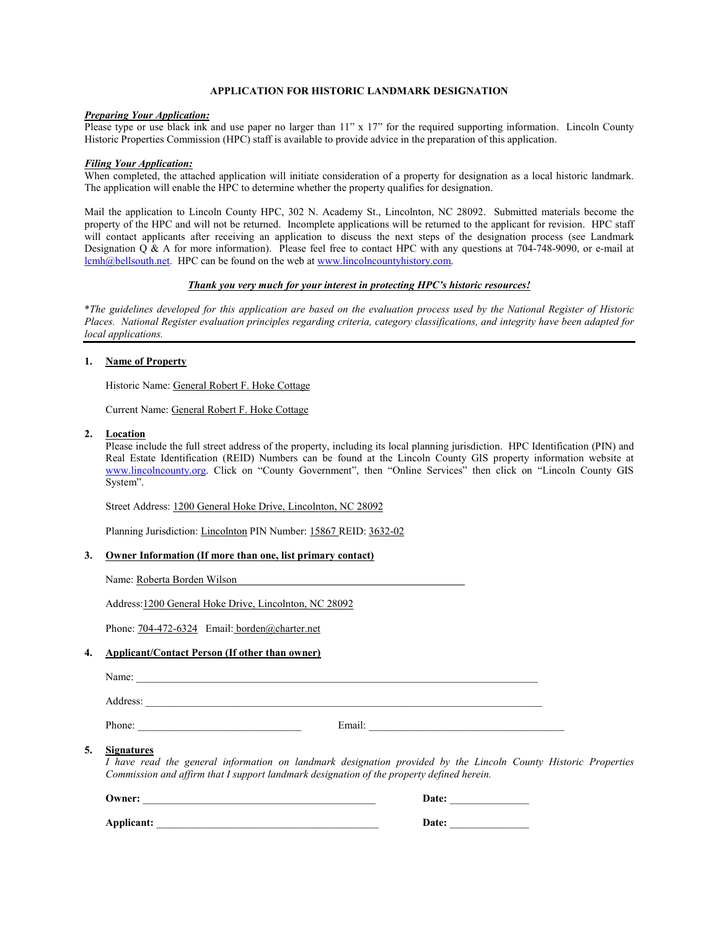## **APPLICATION FOR HISTORIC LANDMARK DESIGNATION**

#### *Preparing Your Application:*

Please type or use black ink and use paper no larger than 11" x 17" for the required supporting information. Lincoln County Historic Properties Commission (HPC) staff is available to provide advice in the preparation of this application.

#### *Filing Your Application:*

When completed, the attached application will initiate consideration of a property for designation as a local historic landmark. The application will enable the HPC to determine whether the property qualifies for designation.

Mail the application to Lincoln County HPC, 302 N. Academy St., Lincolnton, NC 28092. Submitted materials become the property of the HPC and will not be returned. Incomplete applications will be returned to the applicant for revision. HPC staff will contact applicants after receiving an application to discuss the next steps of the designation process (see Landmark Designation  $\overrightarrow{Q}$  & A for more information). Please feel free to contact HPC with any questions at 704-748-9090, or e-mail at lcmh@bellsouth.net. HPC can be found on the web at www.lincolncountyhistory.com.

### *Thank you very much for your interest in protecting HPC's historic resources!*

\**The guidelines developed for this application are based on the evaluation process used by the National Register of Historic Places. National Register evaluation principles regarding criteria, category classifications, and integrity have been adapted for local applications.* 

### **1. Name of Property**

Historic Name: General Robert F. Hoke Cottage

Current Name: General Robert F. Hoke Cottage

#### **2. Location**

Please include the full street address of the property, including its local planning jurisdiction. HPC Identification (PIN) and Real Estate Identification (REID) Numbers can be found at the Lincoln County GIS property information website at www.lincolncounty.org. Click on "County Government", then "Online Services" then click on "Lincoln County GIS System".

Street Address: 1200 General Hoke Drive, Lincolnton, NC 28092

Planning Jurisdiction: Lincolnton PIN Number: 15867 REID: 3632-02

#### **3. Owner Information (If more than one, list primary contact)**

Name: Roberta Borden Wilson

Address:1200 General Hoke Drive, Lincolnton, NC 28092

Phone: 704-472-6324 Email: borden@charter.net

#### **4. Applicant/Contact Person (If other than owner)**

| Name:<br> |  |
|-----------|--|
|           |  |

Address:

Phone: \_\_\_\_\_\_\_\_\_\_\_\_\_\_\_\_\_\_\_\_\_\_\_\_\_\_\_\_\_\_\_ Email: \_\_\_\_\_\_\_\_\_\_\_\_\_\_\_\_\_\_\_\_\_\_\_\_\_\_\_\_\_\_\_\_\_\_\_\_\_

### **5. Signatures**

*I have read the general information on landmark designation provided by the Lincoln County Historic Properties Commission and affirm that I support landmark designation of the property defined herein.* 

| Owner:     | Date: |
|------------|-------|
| Applicant: | Date: |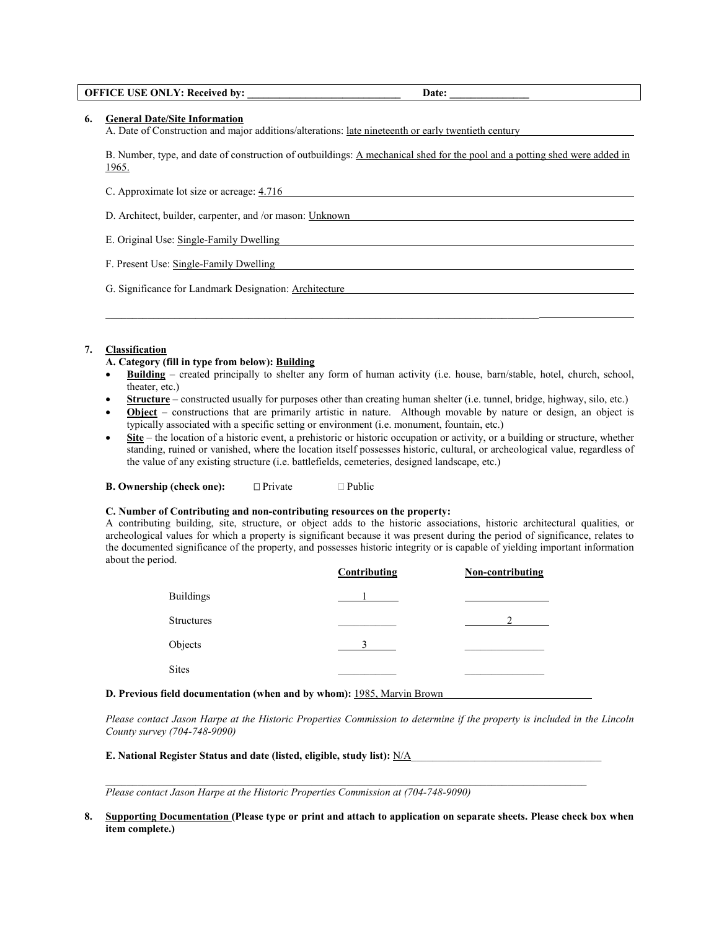#### **OFFICE USE ONLY: Received by:**  Date:

**6. General Date/Site Information**

A. Date of Construction and major additions/alterations: late nineteenth or early twentieth century

\_\_\_\_\_\_\_\_\_\_\_\_\_\_\_\_\_\_\_\_\_\_\_\_\_\_\_\_\_\_\_\_\_\_\_\_\_\_\_\_\_\_\_\_\_\_\_\_\_\_\_\_\_\_\_\_\_\_\_\_\_\_\_\_\_\_\_\_\_\_\_\_\_\_\_\_\_\_\_\_\_\_

B. Number, type, and date of construction of outbuildings: A mechanical shed for the pool and a potting shed were added in 1965.

C. Approximate lot size or acreage: 4.716

D. Architect, builder, carpenter, and /or mason: Unknown

E. Original Use: Single-Family Dwelling

F. Present Use: Single-Family Dwelling

G. Significance for Landmark Designation: Architecture

### **7. Classification**

### **A. Category (fill in type from below): Building**

- **Building** created principally to shelter any form of human activity (i.e. house, barn/stable, hotel, church, school, theater, etc.)
- **Structure** constructed usually for purposes other than creating human shelter (i.e. tunnel, bridge, highway, silo, etc.)
- **Object** constructions that are primarily artistic in nature. Although movable by nature or design, an object is typically associated with a specific setting or environment (i.e. monument, fountain, etc.)
- **Site** the location of a historic event, a prehistoric or historic occupation or activity, or a building or structure, whether standing, ruined or vanished, where the location itself possesses historic, cultural, or archeological value, regardless of the value of any existing structure (i.e. battlefields, cemeteries, designed landscape, etc.)

**B. Ownership (check one):** -Private Public

#### **C. Number of Contributing and non-contributing resources on the property:**

A contributing building, site, structure, or object adds to the historic associations, historic architectural qualities, or archeological values for which a property is significant because it was present during the period of significance, relates to the documented significance of the property, and possesses historic integrity or is capable of yielding important information about the period.

|                   | Contributing | Non-contributing |
|-------------------|--------------|------------------|
| <b>Buildings</b>  |              |                  |
| <b>Structures</b> |              |                  |
| Objects           |              |                  |
| <b>Sites</b>      |              |                  |

#### **D. Previous field documentation (when and by whom):** 1985, Marvin Brown

*Please contact Jason Harpe at the Historic Properties Commission to determine if the property is included in the Lincoln County survey (704-748-9090)* 

**E. National Register Status and date (listed, eligible, study list):** N/A\_\_\_\_\_\_\_\_\_\_\_\_\_\_\_\_\_\_\_\_\_\_\_\_\_\_\_\_\_\_\_\_\_\_\_\_

*Please contact Jason Harpe at the Historic Properties Commission at (704-748-9090)* 

**8. Supporting Documentation (Please type or print and attach to application on separate sheets. Please check box when item complete.)** 

 $\_$  , and the set of the set of the set of the set of the set of the set of the set of the set of the set of the set of the set of the set of the set of the set of the set of the set of the set of the set of the set of th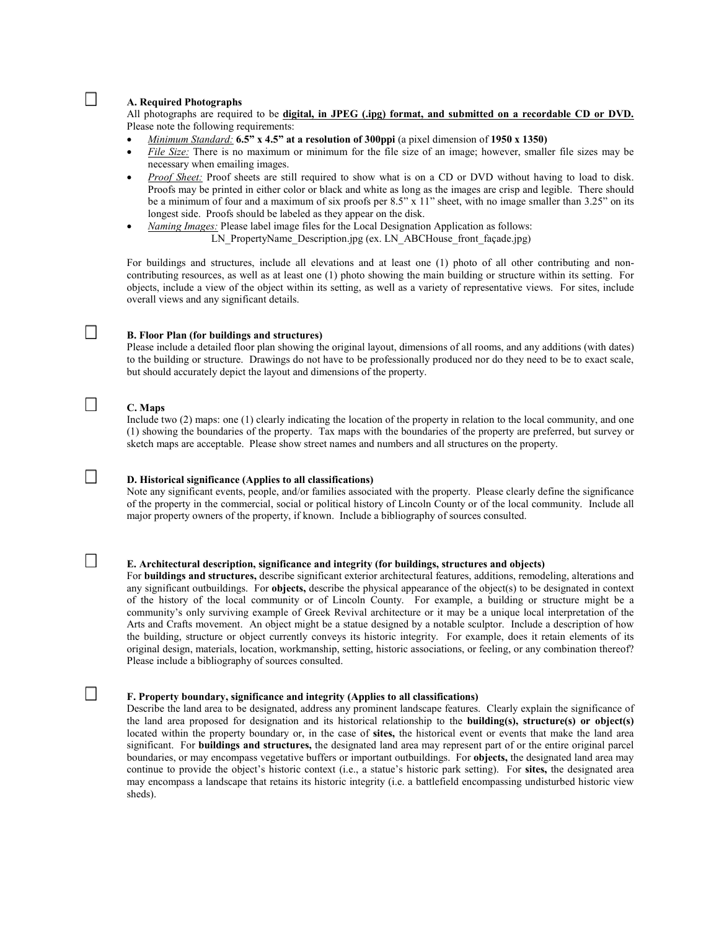### **A. Required Photographs**

All photographs are required to be **digital, in JPEG (.ipg) format, and submitted on a recordable CD or DVD.**  Please note the following requirements:

- *Minimum Standard:* **6.5" x 4.5" at a resolution of 300ppi** (a pixel dimension of **1950 x 1350)**
- *File Size:* There is no maximum or minimum for the file size of an image; however, smaller file sizes may be necessary when emailing images.
- *Proof Sheet:* Proof sheets are still required to show what is on a CD or DVD without having to load to disk. Proofs may be printed in either color or black and white as long as the images are crisp and legible. There should be a minimum of four and a maximum of six proofs per 8.5" x 11" sheet, with no image smaller than 3.25" on its longest side. Proofs should be labeled as they appear on the disk.
- *Naming Images:* Please label image files for the Local Designation Application as follows: LN\_PropertyName\_Description.jpg (ex. LN\_ABCHouse\_front\_façade.jpg)

 For buildings and structures, include all elevations and at least one (1) photo of all other contributing and noncontributing resources, as well as at least one (1) photo showing the main building or structure within its setting. For objects, include a view of the object within its setting, as well as a variety of representative views. For sites, include overall views and any significant details.

#### **B. Floor Plan (for buildings and structures)**

Please include a detailed floor plan showing the original layout, dimensions of all rooms, and any additions (with dates) to the building or structure. Drawings do not have to be professionally produced nor do they need to be to exact scale, but should accurately depict the layout and dimensions of the property.

#### **C. Maps**

Include two (2) maps: one (1) clearly indicating the location of the property in relation to the local community, and one (1) showing the boundaries of the property. Tax maps with the boundaries of the property are preferred, but survey or sketch maps are acceptable. Please show street names and numbers and all structures on the property.

#### **D. Historical significance (Applies to all classifications)**

Note any significant events, people, and/or families associated with the property. Please clearly define the significance of the property in the commercial, social or political history of Lincoln County or of the local community. Include all major property owners of the property, if known. Include a bibliography of sources consulted.

### **E. Architectural description, significance and integrity (for buildings, structures and objects)**

For **buildings and structures,** describe significant exterior architectural features, additions, remodeling, alterations and any significant outbuildings. For **objects,** describe the physical appearance of the object(s) to be designated in context of the history of the local community or of Lincoln County. For example, a building or structure might be a community's only surviving example of Greek Revival architecture or it may be a unique local interpretation of the Arts and Crafts movement. An object might be a statue designed by a notable sculptor. Include a description of how the building, structure or object currently conveys its historic integrity. For example, does it retain elements of its original design, materials, location, workmanship, setting, historic associations, or feeling, or any combination thereof? Please include a bibliography of sources consulted.

#### **F. Property boundary, significance and integrity (Applies to all classifications)**

Describe the land area to be designated, address any prominent landscape features. Clearly explain the significance of the land area proposed for designation and its historical relationship to the **building(s), structure(s) or object(s)** located within the property boundary or, in the case of **sites,** the historical event or events that make the land area significant. For **buildings and structures,** the designated land area may represent part of or the entire original parcel boundaries, or may encompass vegetative buffers or important outbuildings. For **objects,** the designated land area may continue to provide the object's historic context (i.e., a statue's historic park setting). For **sites,** the designated area may encompass a landscape that retains its historic integrity (i.e. a battlefield encompassing undisturbed historic view sheds).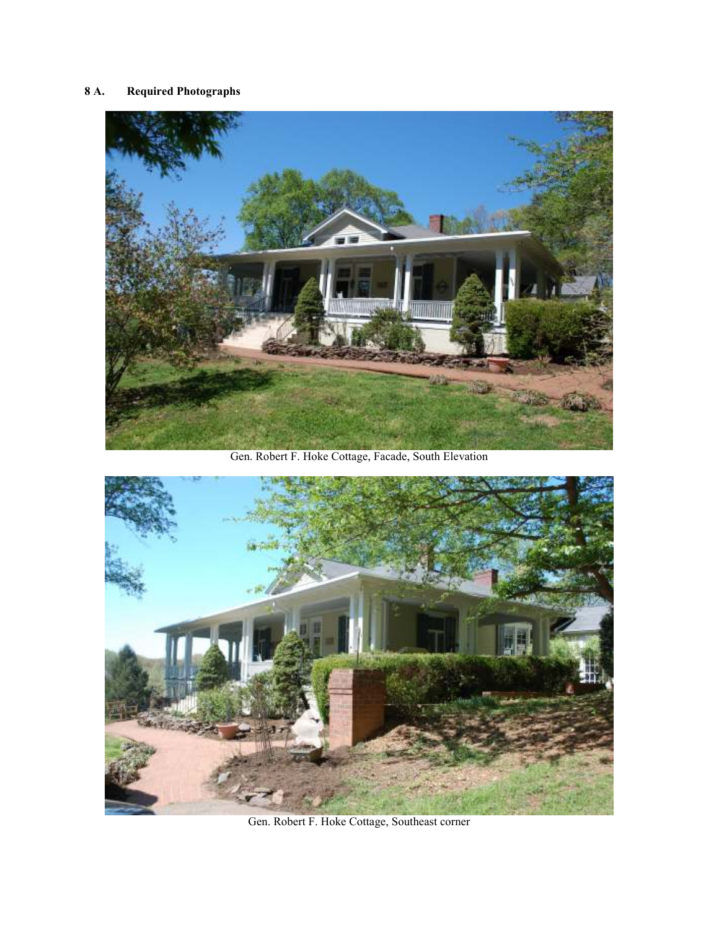# **8 A. Required Photographs**



Gen. Robert F. Hoke Cottage, Facade, South Elevation



Gen. Robert F. Hoke Cottage, Southeast corner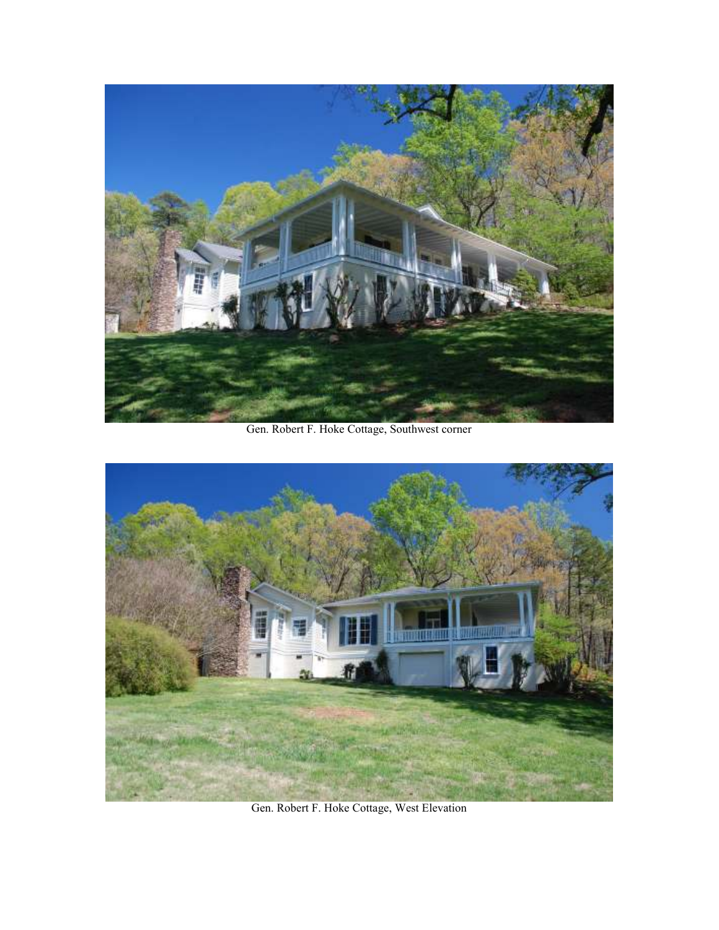

Gen. Robert F. Hoke Cottage, Southwest corner



Gen. Robert F. Hoke Cottage, West Elevation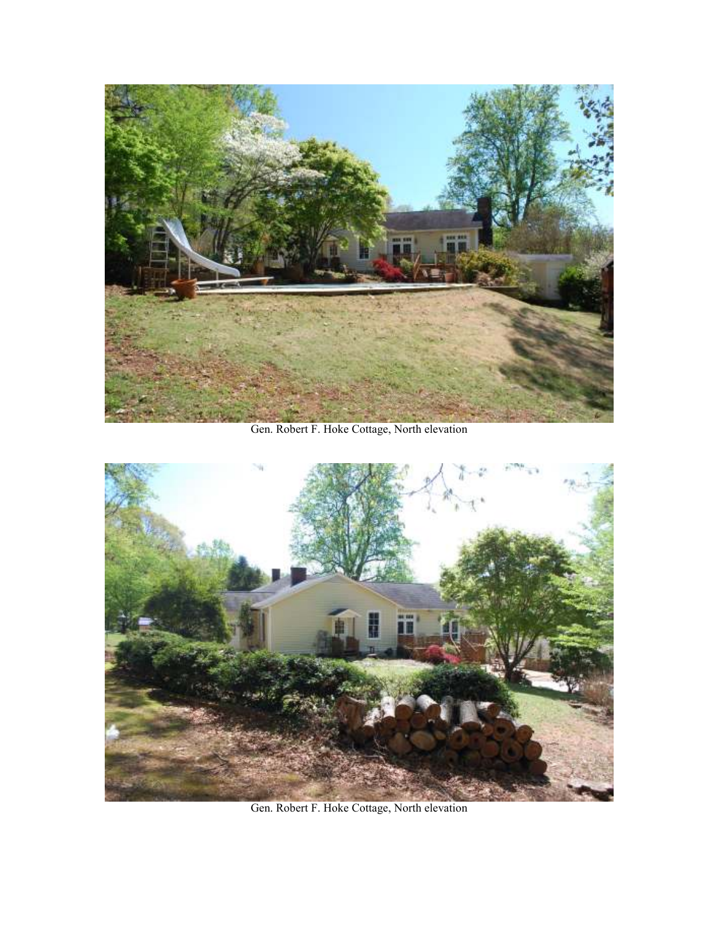

Gen. Robert F. Hoke Cottage, North elevation



Gen. Robert F. Hoke Cottage, North elevation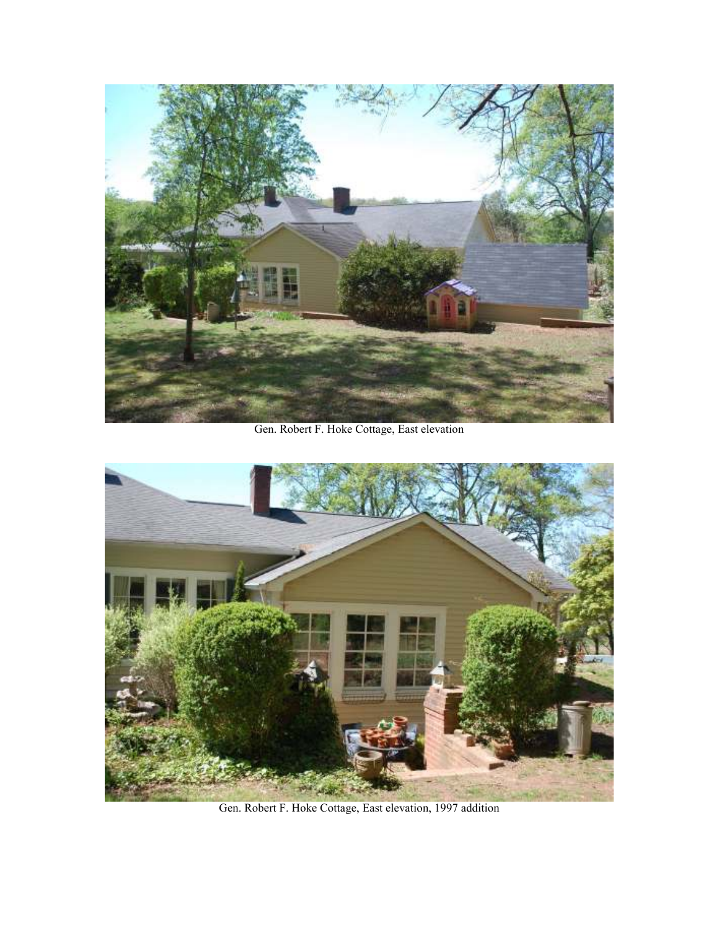

Gen. Robert F. Hoke Cottage, East elevation



Gen. Robert F. Hoke Cottage, East elevation, 1997 addition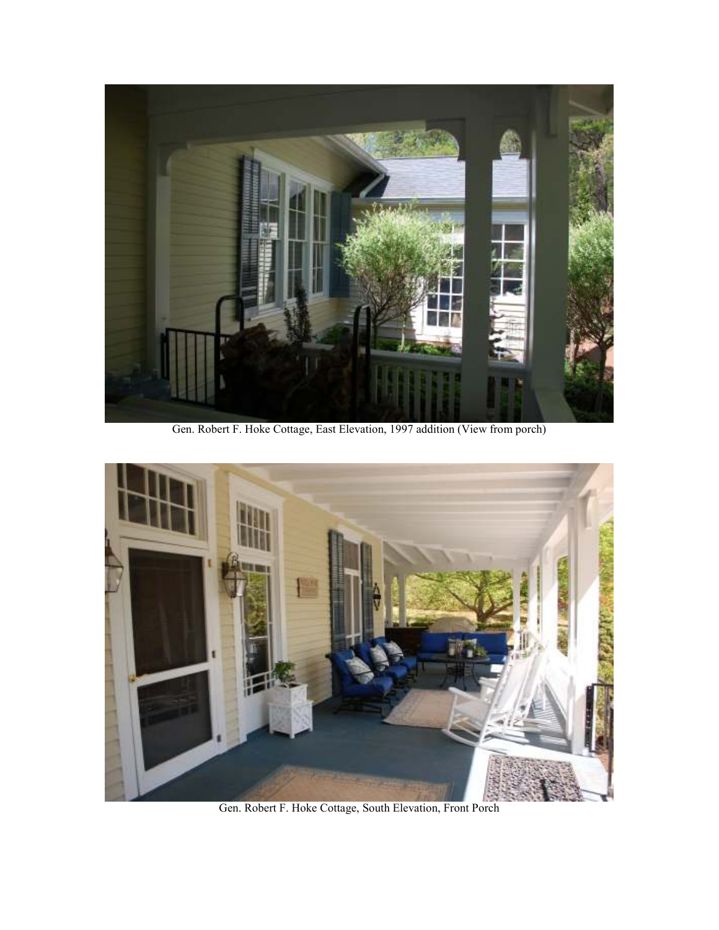

Gen. Robert F. Hoke Cottage, East Elevation, 1997 addition (View from porch)



Gen. Robert F. Hoke Cottage, South Elevation, Front Porch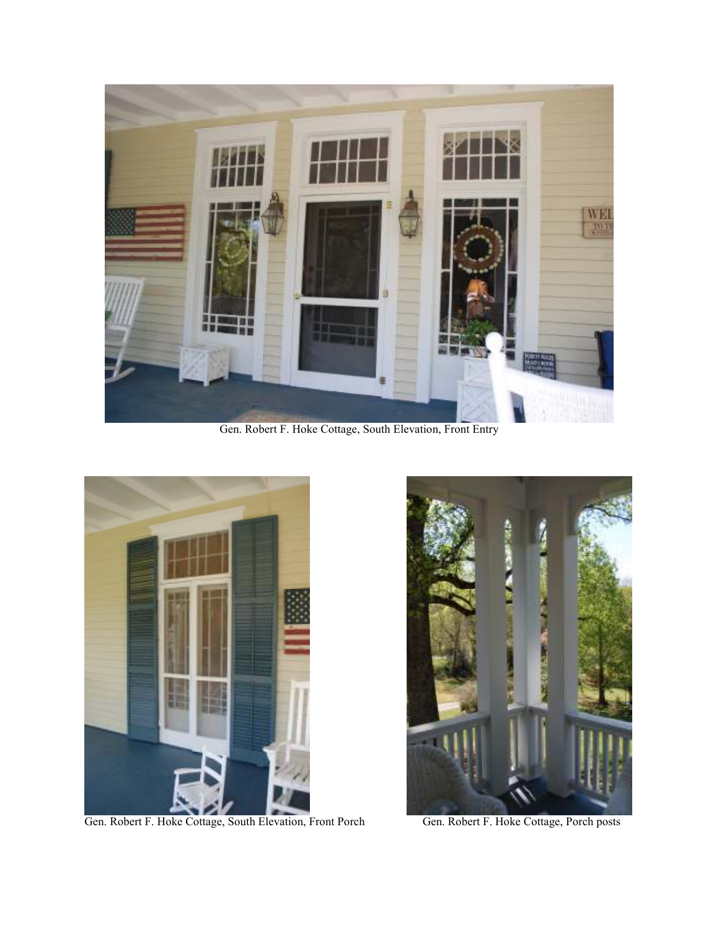

Gen. Robert F. Hoke Cottage, South Elevation, Front Entry



Gen. Robert F. Hoke Cottage, South Elevation, Front Porch Gen. Robert F. Hoke Cottage, Porch posts

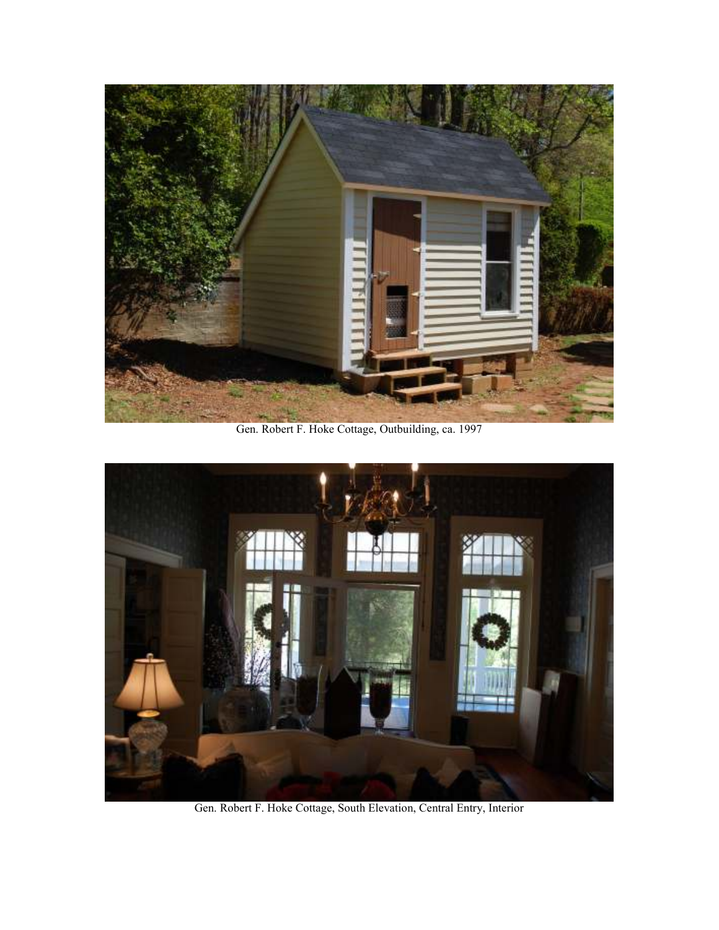

Gen. Robert F. Hoke Cottage, Outbuilding, ca. 1997



Gen. Robert F. Hoke Cottage, South Elevation, Central Entry, Interior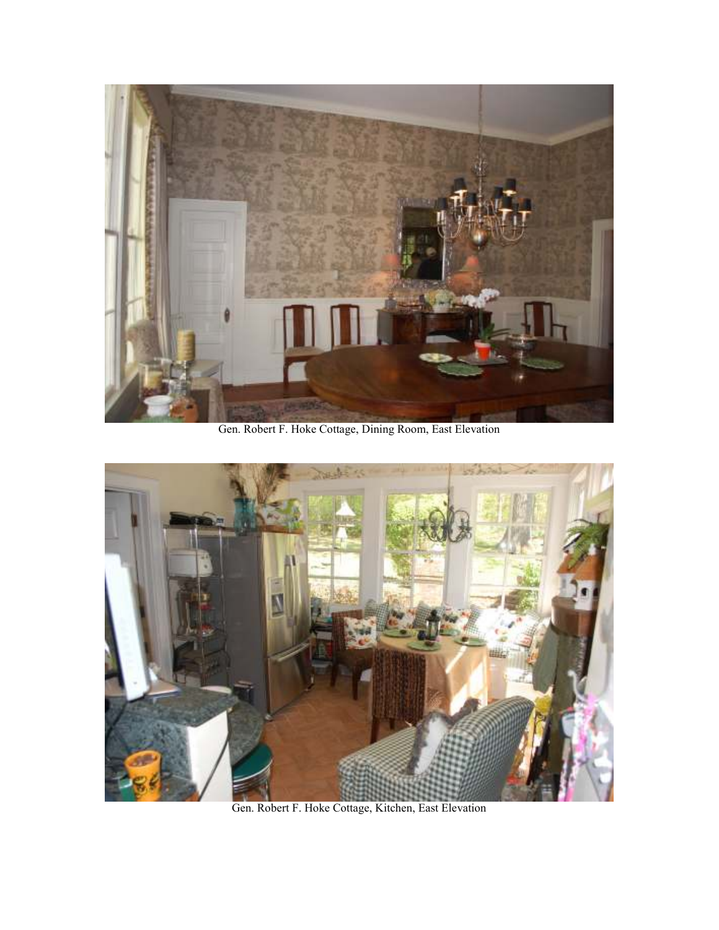

Gen. Robert F. Hoke Cottage, Dining Room, East Elevation



Gen. Robert F. Hoke Cottage, Kitchen, East Elevation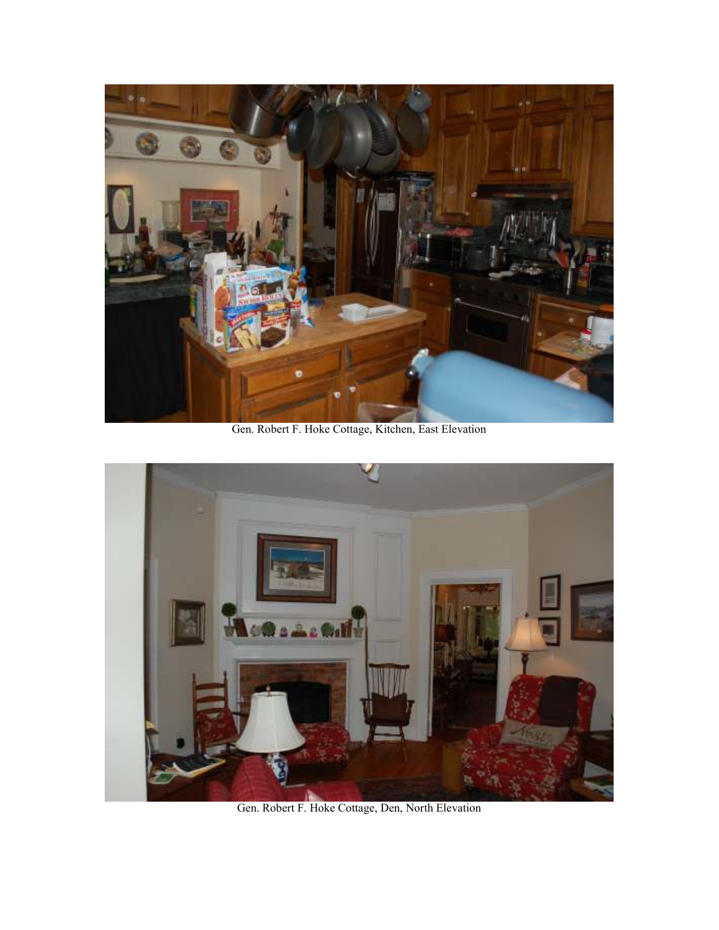

Gen. Robert F. Hoke Cottage, Kitchen, East Elevation



Gen. Robert F. Hoke Cottage, Den, North Elevation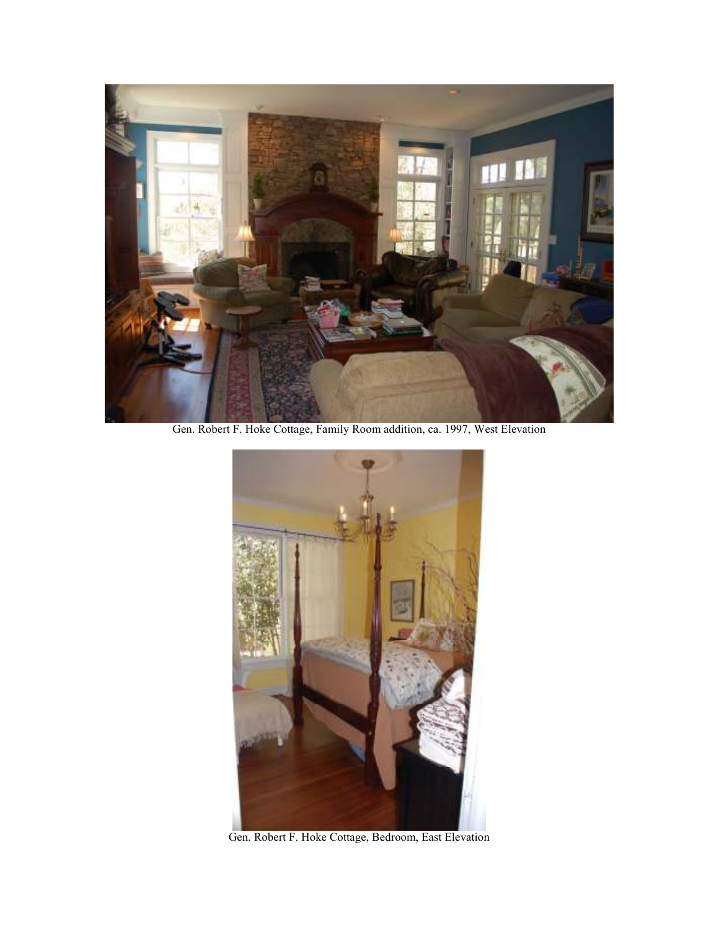

Gen. Robert F. Hoke Cottage, Family Room addition, ca. 1997, West Elevation



Gen. Robert F. Hoke Cottage, Bedroom, East Elevation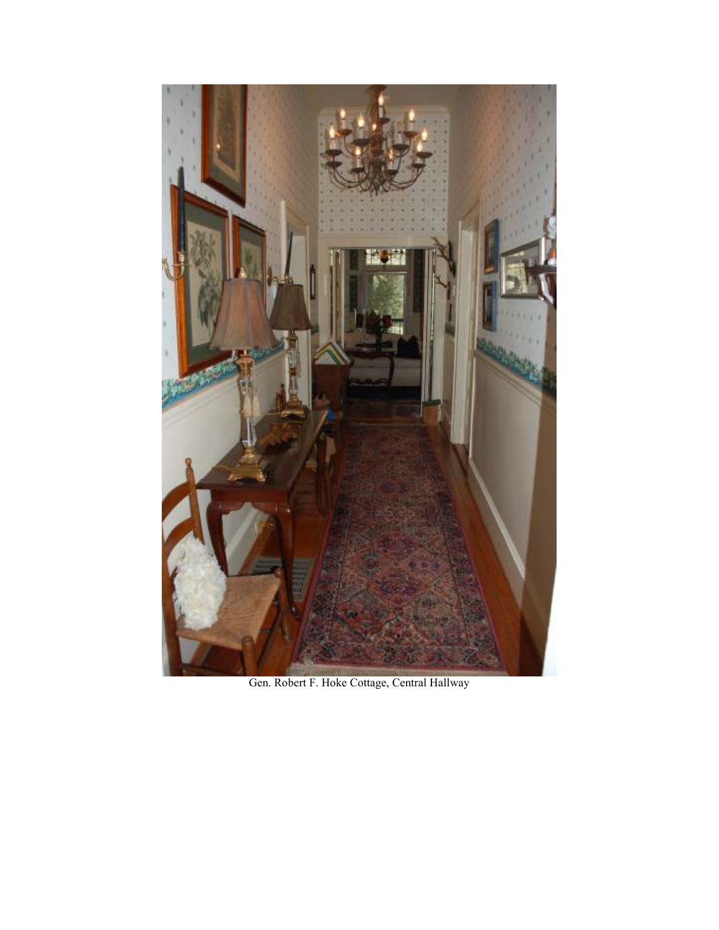

Gen. Robert F. Hoke Cottage, Central Hallway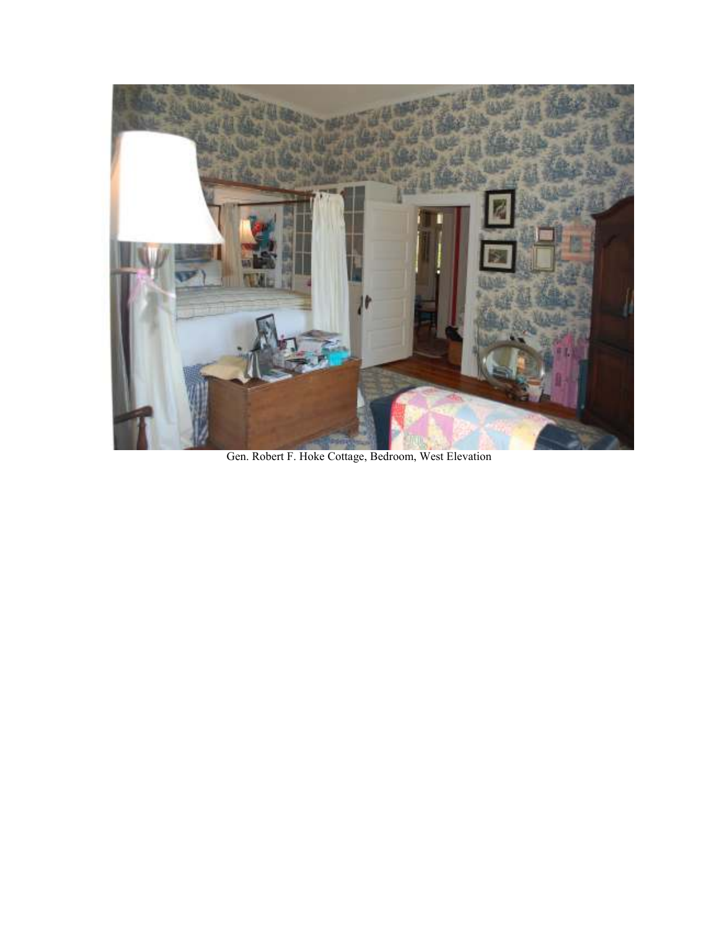

Gen. Robert F. Hoke Cottage, Bedroom, West Elevation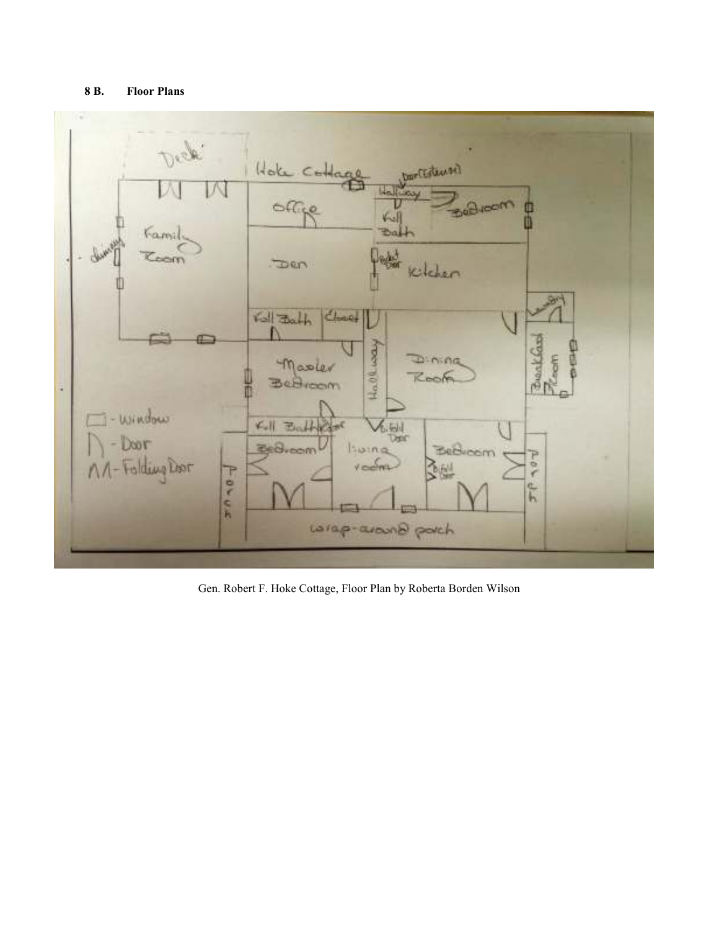## **8 B. Floor Plans**



Gen. Robert F. Hoke Cottage, Floor Plan by Roberta Borden Wilson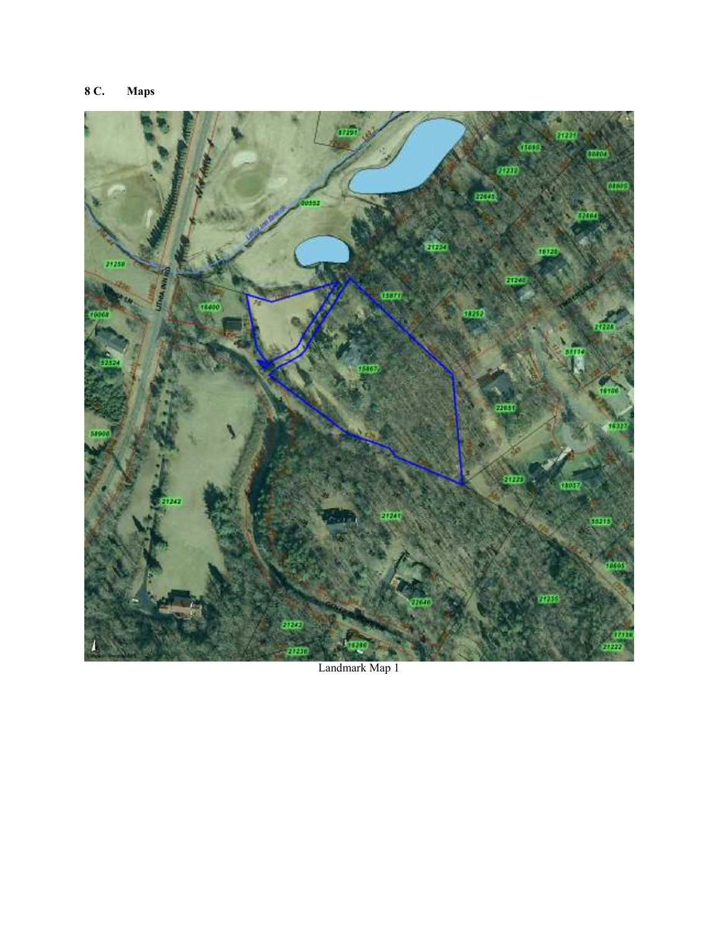# **8 C. Maps**



Landmark Map 1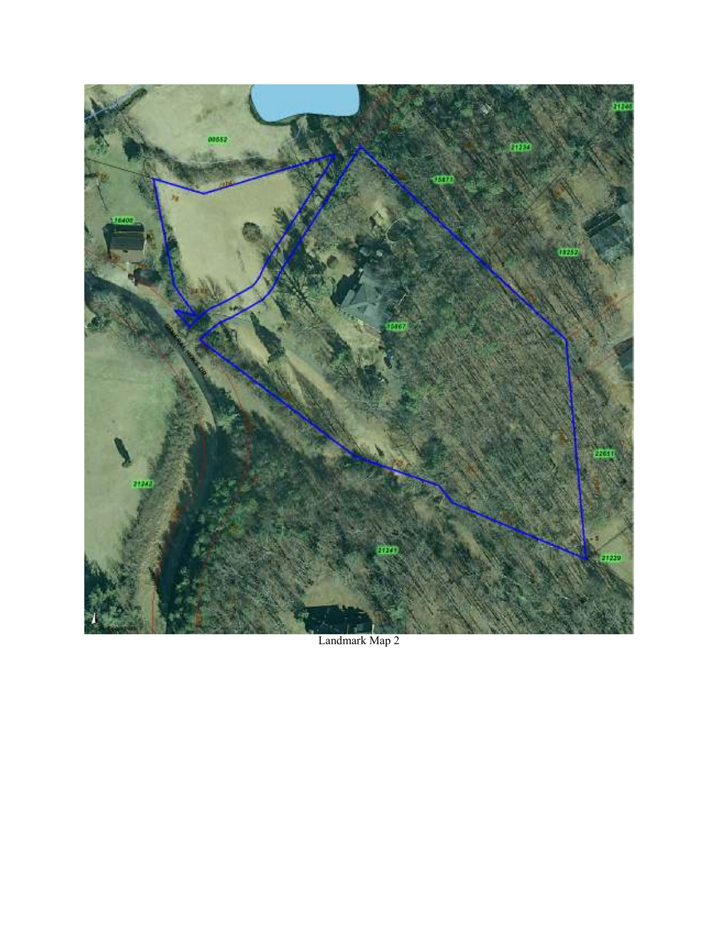

Landmark Map 2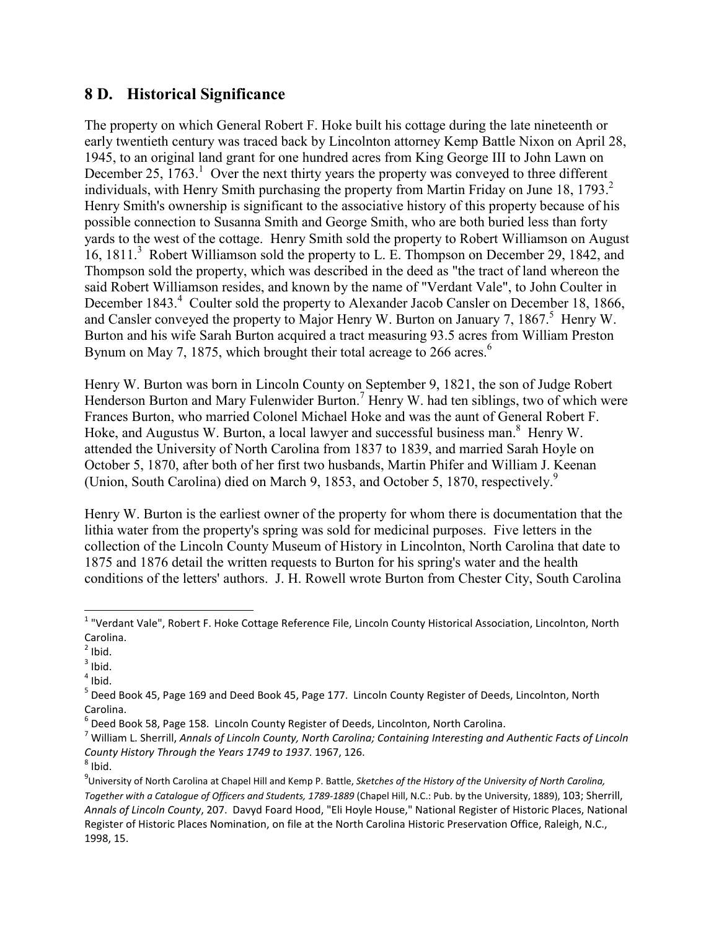# **8 D. Historical Significance**

The property on which General Robert F. Hoke built his cottage during the late nineteenth or early twentieth century was traced back by Lincolnton attorney Kemp Battle Nixon on April 28, 1945, to an original land grant for one hundred acres from King George III to John Lawn on December  $25$ ,  $1763$ .<sup>1</sup> Over the next thirty years the property was conveyed to three different individuals, with Henry Smith purchasing the property from Martin Friday on June 18, 1793. $2$ Henry Smith's ownership is significant to the associative history of this property because of his possible connection to Susanna Smith and George Smith, who are both buried less than forty yards to the west of the cottage. Henry Smith sold the property to Robert Williamson on August 16, 1811.<sup>3</sup> Robert Williamson sold the property to L. E. Thompson on December 29, 1842, and Thompson sold the property, which was described in the deed as "the tract of land whereon the said Robert Williamson resides, and known by the name of "Verdant Vale", to John Coulter in December 1843.<sup>4</sup> Coulter sold the property to Alexander Jacob Cansler on December 18, 1866, and Cansler conveyed the property to Major Henry W. Burton on January 7, 1867.<sup>5</sup> Henry W. Burton and his wife Sarah Burton acquired a tract measuring 93.5 acres from William Preston Bynum on May 7, 1875, which brought their total acreage to 266 acres.<sup>6</sup>

Henry W. Burton was born in Lincoln County on September 9, 1821, the son of Judge Robert Henderson Burton and Mary Fulenwider Burton.<sup>7</sup> Henry W. had ten siblings, two of which were Frances Burton, who married Colonel Michael Hoke and was the aunt of General Robert F. Hoke, and Augustus W. Burton, a local lawyer and successful business man.<sup>8</sup> Henry W. attended the University of North Carolina from 1837 to 1839, and married Sarah Hoyle on October 5, 1870, after both of her first two husbands, Martin Phifer and William J. Keenan (Union, South Carolina) died on March 9, 1853, and October 5, 1870, respectively.<sup>9</sup>

Henry W. Burton is the earliest owner of the property for whom there is documentation that the lithia water from the property's spring was sold for medicinal purposes. Five letters in the collection of the Lincoln County Museum of History in Lincolnton, North Carolina that date to 1875 and 1876 detail the written requests to Burton for his spring's water and the health conditions of the letters' authors. J. H. Rowell wrote Burton from Chester City, South Carolina

 1 "Verdant Vale", Robert F. Hoke Cottage Reference File, Lincoln County Historical Association, Lincolnton, North Carolina.

 $2$  Ibid.

 $3$  Ibid.

 $<sup>4</sup>$  Ibid.</sup>

<sup>&</sup>lt;sup>5</sup> Deed Book 45, Page 169 and Deed Book 45, Page 177. Lincoln County Register of Deeds, Lincolnton, North Carolina.

<sup>&</sup>lt;sup>6</sup> Deed Book 58, Page 158. Lincoln County Register of Deeds, Lincolnton, North Carolina.

<sup>7</sup> William L. Sherrill, *Annals of Lincoln County, North Carolina; Containing Interesting and Authentic Facts of Lincoln County History Through the Years 1749 to 1937*. 1967, 126.

 $^8$  Ibid.

<sup>9</sup> University of North Carolina at Chapel Hill and Kemp P. Battle, *Sketches of the History of the University of North Carolina, Together with a Catalogue of Officers and Students, 1789-1889* (Chapel Hill, N.C.: Pub. by the University, 1889), 103; Sherrill, *Annals of Lincoln County*, 207. Davyd Foard Hood, "Eli Hoyle House," National Register of Historic Places, National Register of Historic Places Nomination, on file at the North Carolina Historic Preservation Office, Raleigh, N.C., 1998, 15.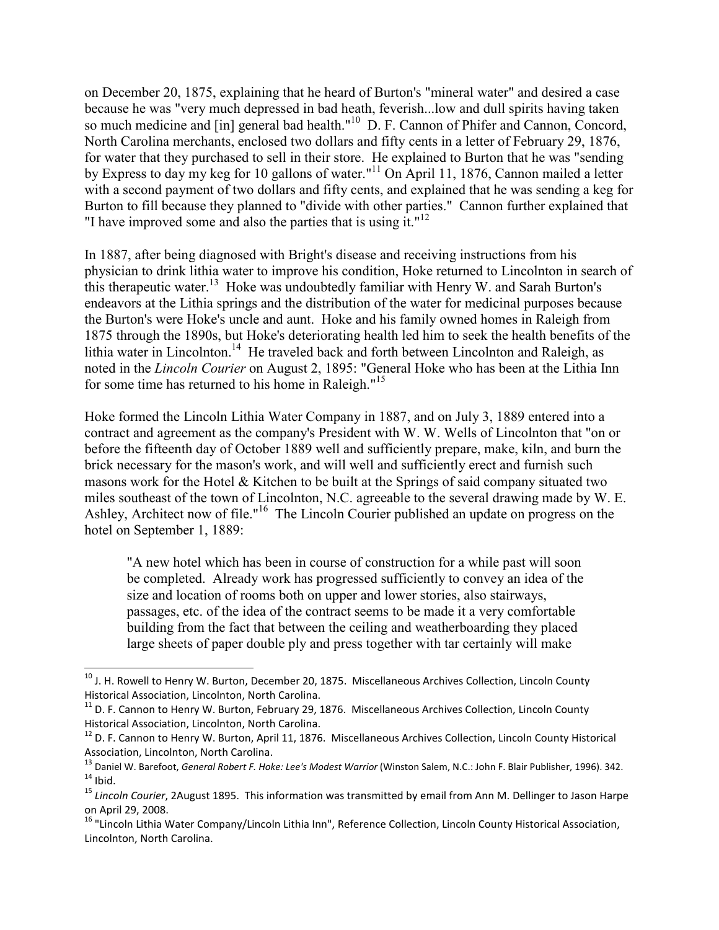on December 20, 1875, explaining that he heard of Burton's "mineral water" and desired a case because he was "very much depressed in bad heath, feverish...low and dull spirits having taken so much medicine and [in] general bad health."<sup>10</sup> D. F. Cannon of Phifer and Cannon, Concord, North Carolina merchants, enclosed two dollars and fifty cents in a letter of February 29, 1876, for water that they purchased to sell in their store. He explained to Burton that he was "sending by Express to day my keg for 10 gallons of water."<sup>11</sup> On April 11, 1876, Cannon mailed a letter with a second payment of two dollars and fifty cents, and explained that he was sending a keg for Burton to fill because they planned to "divide with other parties." Cannon further explained that "I have improved some and also the parties that is using it."<sup>12</sup>

In 1887, after being diagnosed with Bright's disease and receiving instructions from his physician to drink lithia water to improve his condition, Hoke returned to Lincolnton in search of this therapeutic water.<sup>13</sup> Hoke was undoubtedly familiar with Henry W. and Sarah Burton's endeavors at the Lithia springs and the distribution of the water for medicinal purposes because the Burton's were Hoke's uncle and aunt. Hoke and his family owned homes in Raleigh from 1875 through the 1890s, but Hoke's deteriorating health led him to seek the health benefits of the lithia water in Lincolnton.<sup>14</sup> He traveled back and forth between Lincolnton and Raleigh, as noted in the *Lincoln Courier* on August 2, 1895: "General Hoke who has been at the Lithia Inn for some time has returned to his home in Raleigh."<sup>15</sup>

Hoke formed the Lincoln Lithia Water Company in 1887, and on July 3, 1889 entered into a contract and agreement as the company's President with W. W. Wells of Lincolnton that "on or before the fifteenth day of October 1889 well and sufficiently prepare, make, kiln, and burn the brick necessary for the mason's work, and will well and sufficiently erect and furnish such masons work for the Hotel & Kitchen to be built at the Springs of said company situated two miles southeast of the town of Lincolnton, N.C. agreeable to the several drawing made by W. E. Ashley, Architect now of file."<sup>16</sup> The Lincoln Courier published an update on progress on the hotel on September 1, 1889:

"A new hotel which has been in course of construction for a while past will soon be completed. Already work has progressed sufficiently to convey an idea of the size and location of rooms both on upper and lower stories, also stairways, passages, etc. of the idea of the contract seems to be made it a very comfortable building from the fact that between the ceiling and weatherboarding they placed large sheets of paper double ply and press together with tar certainly will make

<sup>&</sup>lt;sup>10</sup> J. H. Rowell to Henry W. Burton, December 20, 1875. Miscellaneous Archives Collection, Lincoln County Historical Association, Lincolnton, North Carolina.

 $11$  D. F. Cannon to Henry W. Burton, February 29, 1876. Miscellaneous Archives Collection, Lincoln County Historical Association, Lincolnton, North Carolina.

<sup>&</sup>lt;sup>12</sup> D. F. Cannon to Henry W. Burton, April 11, 1876. Miscellaneous Archives Collection, Lincoln County Historical Association, Lincolnton, North Carolina.

<sup>13</sup> Daniel W. Barefoot, *General Robert F. Hoke: Lee's Modest Warrior* (Winston Salem, N.C.: John F. Blair Publisher, 1996). 342.  $14$  Ibid.

<sup>15</sup> *Lincoln Courier*, 2August 1895. This information was transmitted by email from Ann M. Dellinger to Jason Harpe on April 29, 2008.

<sup>&</sup>lt;sup>16</sup> "Lincoln Lithia Water Company/Lincoln Lithia Inn", Reference Collection, Lincoln County Historical Association, Lincolnton, North Carolina.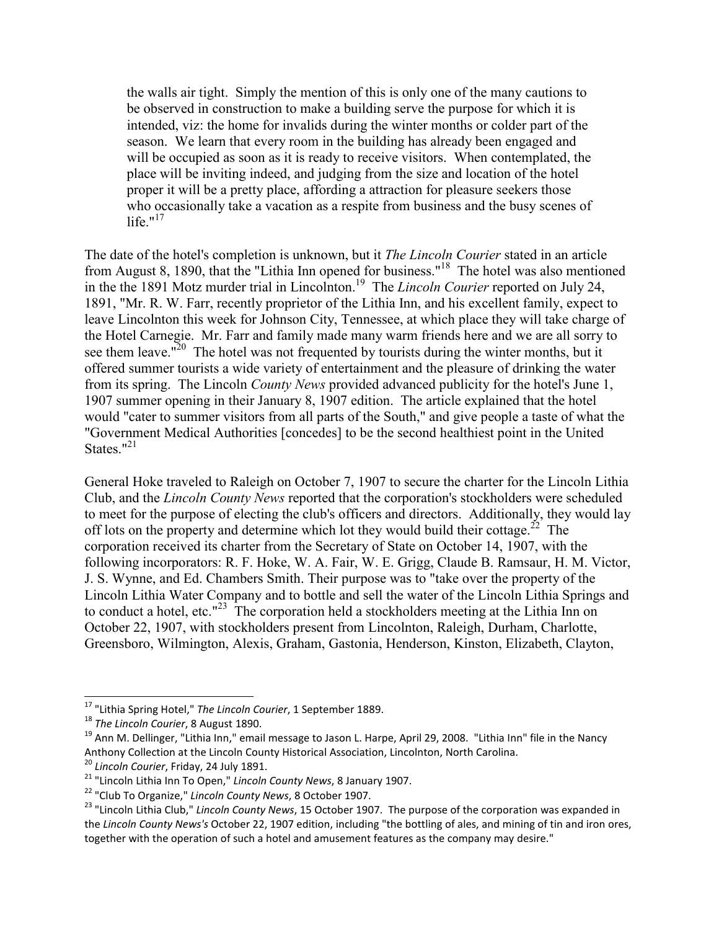the walls air tight. Simply the mention of this is only one of the many cautions to be observed in construction to make a building serve the purpose for which it is intended, viz: the home for invalids during the winter months or colder part of the season. We learn that every room in the building has already been engaged and will be occupied as soon as it is ready to receive visitors. When contemplated, the place will be inviting indeed, and judging from the size and location of the hotel proper it will be a pretty place, affording a attraction for pleasure seekers those who occasionally take a vacation as a respite from business and the busy scenes of life." $17$ 

The date of the hotel's completion is unknown, but it *The Lincoln Courier* stated in an article from August 8, 1890, that the "Lithia Inn opened for business."<sup>18</sup> The hotel was also mentioned in the the 1891 Motz murder trial in Lincolnton.<sup>19</sup> The *Lincoln Courier* reported on July 24, 1891, "Mr. R. W. Farr, recently proprietor of the Lithia Inn, and his excellent family, expect to leave Lincolnton this week for Johnson City, Tennessee, at which place they will take charge of the Hotel Carnegie. Mr. Farr and family made many warm friends here and we are all sorry to see them leave.<sup> $n^{20}$ </sup> The hotel was not frequented by tourists during the winter months, but it offered summer tourists a wide variety of entertainment and the pleasure of drinking the water from its spring. The Lincoln *County News* provided advanced publicity for the hotel's June 1, 1907 summer opening in their January 8, 1907 edition. The article explained that the hotel would "cater to summer visitors from all parts of the South," and give people a taste of what the "Government Medical Authorities [concedes] to be the second healthiest point in the United States. $121$ 

General Hoke traveled to Raleigh on October 7, 1907 to secure the charter for the Lincoln Lithia Club, and the *Lincoln County News* reported that the corporation's stockholders were scheduled to meet for the purpose of electing the club's officers and directors. Additionally, they would lay off lots on the property and determine which lot they would build their cottage.<sup>22</sup> The corporation received its charter from the Secretary of State on October 14, 1907, with the following incorporators: R. F. Hoke, W. A. Fair, W. E. Grigg, Claude B. Ramsaur, H. M. Victor, J. S. Wynne, and Ed. Chambers Smith. Their purpose was to "take over the property of the Lincoln Lithia Water Company and to bottle and sell the water of the Lincoln Lithia Springs and to conduct a hotel, etc."<sup>23</sup> The corporation held a stockholders meeting at the Lithia Inn on October 22, 1907, with stockholders present from Lincolnton, Raleigh, Durham, Charlotte, Greensboro, Wilmington, Alexis, Graham, Gastonia, Henderson, Kinston, Elizabeth, Clayton,

<sup>17</sup> "Lithia Spring Hotel," *The Lincoln Courier*, 1 September 1889.

<sup>18</sup> *The Lincoln Courier*, 8 August 1890.

 $19$  Ann M. Dellinger, "Lithia Inn," email message to Jason L. Harpe, April 29, 2008. "Lithia Inn" file in the Nancy Anthony Collection at the Lincoln County Historical Association, Lincolnton, North Carolina.

<sup>20</sup> *Lincoln Courier*, Friday, 24 July 1891.

<sup>21</sup> "Lincoln Lithia Inn To Open," *Lincoln County News*, 8 January 1907.

<sup>22</sup> "Club To Organize," *Lincoln County News*, 8 October 1907.

<sup>23</sup> "Lincoln Lithia Club," *Lincoln County News*, 15 October 1907. The purpose of the corporation was expanded in the *Lincoln County News's* October 22, 1907 edition, including "the bottling of ales, and mining of tin and iron ores, together with the operation of such a hotel and amusement features as the company may desire."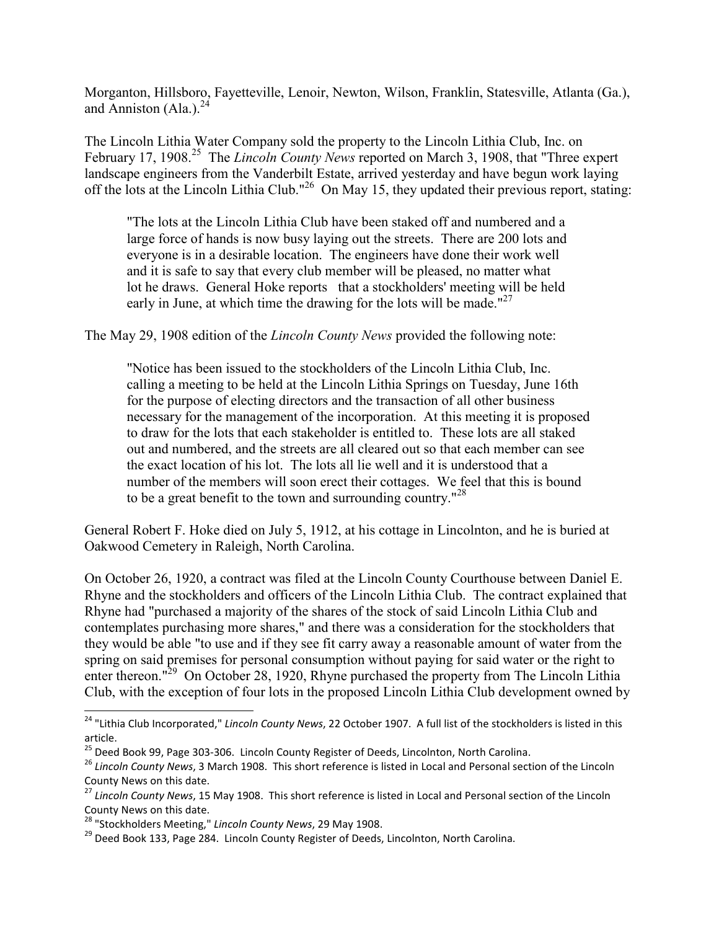Morganton, Hillsboro, Fayetteville, Lenoir, Newton, Wilson, Franklin, Statesville, Atlanta (Ga.), and Anniston  $(AIa.)<sup>24</sup>$ 

The Lincoln Lithia Water Company sold the property to the Lincoln Lithia Club, Inc. on February 17, 1908.<sup>25</sup> The *Lincoln County News* reported on March 3, 1908, that "Three expert landscape engineers from the Vanderbilt Estate, arrived yesterday and have begun work laying off the lots at the Lincoln Lithia Club."<sup>26</sup> On May 15, they updated their previous report, stating:

 "The lots at the Lincoln Lithia Club have been staked off and numbered and a large force of hands is now busy laying out the streets. There are 200 lots and everyone is in a desirable location. The engineers have done their work well and it is safe to say that every club member will be pleased, no matter what lot he draws. General Hoke reports that a stockholders' meeting will be held early in June, at which time the drawing for the lots will be made." $27$ 

The May 29, 1908 edition of the *Lincoln County News* provided the following note:

"Notice has been issued to the stockholders of the Lincoln Lithia Club, Inc. calling a meeting to be held at the Lincoln Lithia Springs on Tuesday, June 16th for the purpose of electing directors and the transaction of all other business necessary for the management of the incorporation. At this meeting it is proposed to draw for the lots that each stakeholder is entitled to. These lots are all staked out and numbered, and the streets are all cleared out so that each member can see the exact location of his lot. The lots all lie well and it is understood that a number of the members will soon erect their cottages. We feel that this is bound to be a great benefit to the town and surrounding country."<sup>28</sup>

General Robert F. Hoke died on July 5, 1912, at his cottage in Lincolnton, and he is buried at Oakwood Cemetery in Raleigh, North Carolina.

On October 26, 1920, a contract was filed at the Lincoln County Courthouse between Daniel E. Rhyne and the stockholders and officers of the Lincoln Lithia Club. The contract explained that Rhyne had "purchased a majority of the shares of the stock of said Lincoln Lithia Club and contemplates purchasing more shares," and there was a consideration for the stockholders that they would be able "to use and if they see fit carry away a reasonable amount of water from the spring on said premises for personal consumption without paying for said water or the right to enter thereon."<sup>29</sup> On October 28, 1920, Rhyne purchased the property from The Lincoln Lithia Club, with the exception of four lots in the proposed Lincoln Lithia Club development owned by

<sup>24</sup> "Lithia Club Incorporated," *Lincoln County News*, 22 October 1907. A full list of the stockholders is listed in this article.

<sup>&</sup>lt;sup>25</sup> Deed Book 99, Page 303-306. Lincoln County Register of Deeds, Lincolnton, North Carolina.

<sup>26</sup> *Lincoln County News*, 3 March 1908. This short reference is listed in Local and Personal section of the Lincoln County News on this date.

<sup>27</sup> *Lincoln County News*, 15 May 1908. This short reference is listed in Local and Personal section of the Lincoln County News on this date.

<sup>28</sup> "Stockholders Meeting," *Lincoln County News*, 29 May 1908.

<sup>&</sup>lt;sup>29</sup> Deed Book 133, Page 284. Lincoln County Register of Deeds, Lincolnton, North Carolina.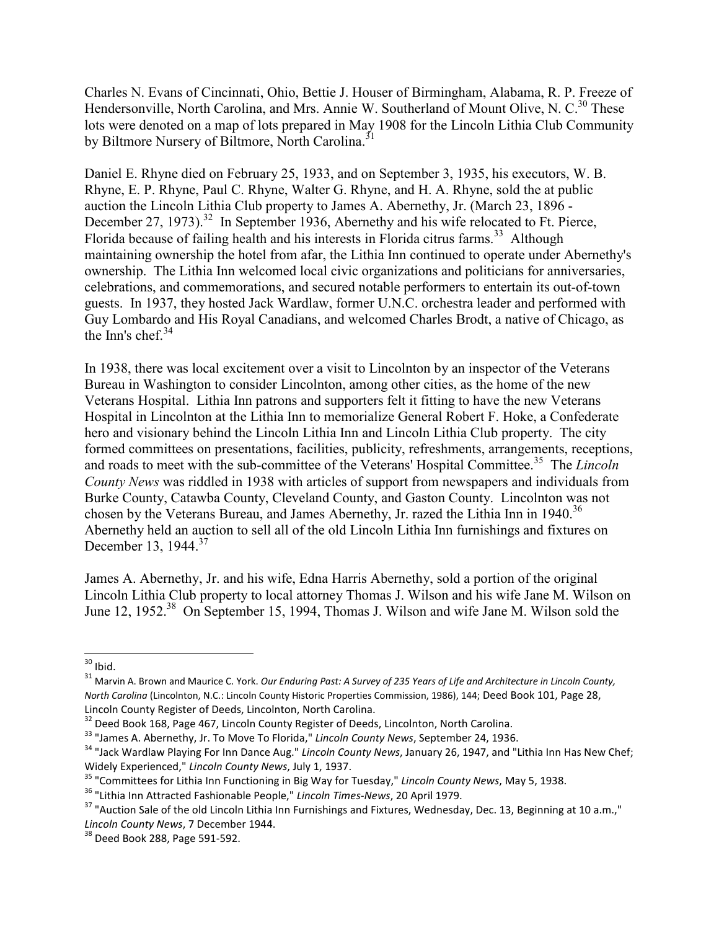Charles N. Evans of Cincinnati, Ohio, Bettie J. Houser of Birmingham, Alabama, R. P. Freeze of Hendersonville, North Carolina, and Mrs. Annie W. Southerland of Mount Olive, N. C.<sup>30</sup> These lots were denoted on a map of lots prepared in May 1908 for the Lincoln Lithia Club Community by Biltmore Nursery of Biltmore, North Carolina.<sup>31</sup>

Daniel E. Rhyne died on February 25, 1933, and on September 3, 1935, his executors, W. B. Rhyne, E. P. Rhyne, Paul C. Rhyne, Walter G. Rhyne, and H. A. Rhyne, sold the at public auction the Lincoln Lithia Club property to James A. Abernethy, Jr. (March 23, 1896 - December 27, 1973).<sup>32</sup> In September 1936, Abernethy and his wife relocated to Ft. Pierce, Florida because of failing health and his interests in Florida citrus farms.<sup>33</sup> Although maintaining ownership the hotel from afar, the Lithia Inn continued to operate under Abernethy's ownership. The Lithia Inn welcomed local civic organizations and politicians for anniversaries, celebrations, and commemorations, and secured notable performers to entertain its out-of-town guests. In 1937, they hosted Jack Wardlaw, former U.N.C. orchestra leader and performed with Guy Lombardo and His Royal Canadians, and welcomed Charles Brodt, a native of Chicago, as the Inn's chef. $34$ 

In 1938, there was local excitement over a visit to Lincolnton by an inspector of the Veterans Bureau in Washington to consider Lincolnton, among other cities, as the home of the new Veterans Hospital. Lithia Inn patrons and supporters felt it fitting to have the new Veterans Hospital in Lincolnton at the Lithia Inn to memorialize General Robert F. Hoke, a Confederate hero and visionary behind the Lincoln Lithia Inn and Lincoln Lithia Club property. The city formed committees on presentations, facilities, publicity, refreshments, arrangements, receptions, and roads to meet with the sub-committee of the Veterans' Hospital Committee.<sup>35</sup> The *Lincoln County News* was riddled in 1938 with articles of support from newspapers and individuals from Burke County, Catawba County, Cleveland County, and Gaston County. Lincolnton was not chosen by the Veterans Bureau, and James Abernethy, Jr. razed the Lithia Inn in 1940.<sup>36</sup> Abernethy held an auction to sell all of the old Lincoln Lithia Inn furnishings and fixtures on December 13, 1944.<sup>37</sup>

James A. Abernethy, Jr. and his wife, Edna Harris Abernethy, sold a portion of the original Lincoln Lithia Club property to local attorney Thomas J. Wilson and his wife Jane M. Wilson on June 12, 1952.<sup>38</sup> On September 15, 1994, Thomas J. Wilson and wife Jane M. Wilson sold the

 $30$  Ibid.

<sup>31</sup> Marvin A. Brown and Maurice C. York. *Our Enduring Past: A Survey of 235 Years of Life and Architecture in Lincoln County, North Carolina* (Lincolnton, N.C.: Lincoln County Historic Properties Commission, 1986), 144; Deed Book 101, Page 28, Lincoln County Register of Deeds, Lincolnton, North Carolina.

<sup>32</sup> Deed Book 168, Page 467, Lincoln County Register of Deeds, Lincolnton, North Carolina.

<sup>33</sup> "James A. Abernethy, Jr. To Move To Florida," *Lincoln County News*, September 24, 1936.

<sup>34</sup> "Jack Wardlaw Playing For Inn Dance Aug." *Lincoln County News*, January 26, 1947, and "Lithia Inn Has New Chef; Widely Experienced," *Lincoln County News*, July 1, 1937.

<sup>35</sup> "Committees for Lithia Inn Functioning in Big Way for Tuesday," *Lincoln County News*, May 5, 1938.

<sup>36</sup> "Lithia Inn Attracted Fashionable People," *Lincoln Times-News*, 20 April 1979.

<sup>&</sup>lt;sup>37</sup> "Auction Sale of the old Lincoln Lithia Inn Furnishings and Fixtures, Wednesday, Dec. 13, Beginning at 10 a.m.," *Lincoln County News*, 7 December 1944.

<sup>38</sup> Deed Book 288, Page 591-592.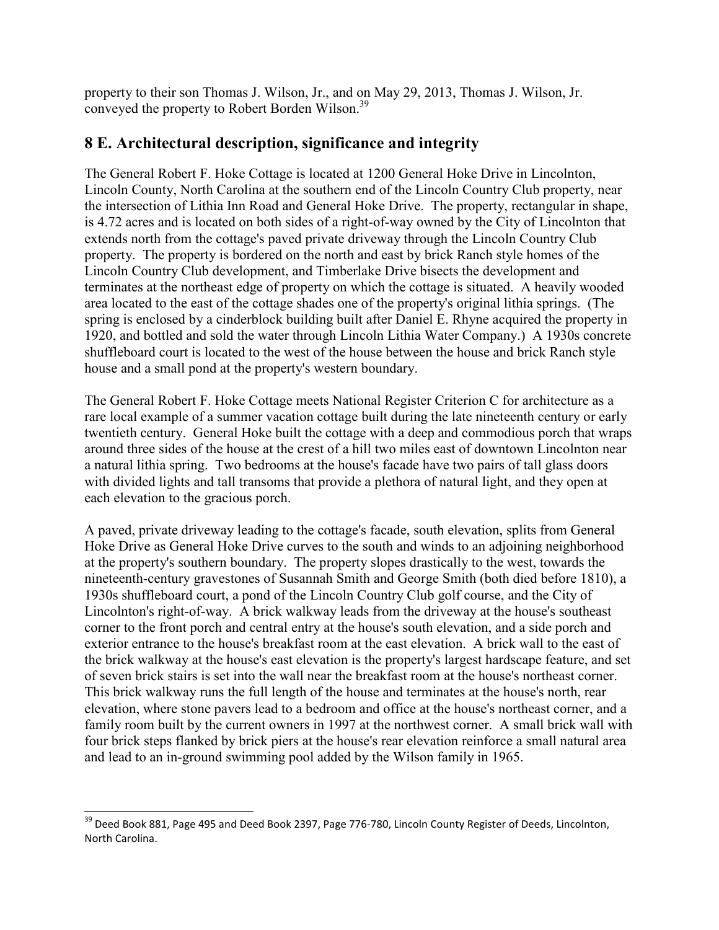property to their son Thomas J. Wilson, Jr., and on May 29, 2013, Thomas J. Wilson, Jr. conveyed the property to Robert Borden Wilson.<sup>39</sup>

# **8 E. Architectural description, significance and integrity**

The General Robert F. Hoke Cottage is located at 1200 General Hoke Drive in Lincolnton, Lincoln County, North Carolina at the southern end of the Lincoln Country Club property, near the intersection of Lithia Inn Road and General Hoke Drive. The property, rectangular in shape, is 4.72 acres and is located on both sides of a right-of-way owned by the City of Lincolnton that extends north from the cottage's paved private driveway through the Lincoln Country Club property. The property is bordered on the north and east by brick Ranch style homes of the Lincoln Country Club development, and Timberlake Drive bisects the development and terminates at the northeast edge of property on which the cottage is situated. A heavily wooded area located to the east of the cottage shades one of the property's original lithia springs. (The spring is enclosed by a cinderblock building built after Daniel E. Rhyne acquired the property in 1920, and bottled and sold the water through Lincoln Lithia Water Company.) A 1930s concrete shuffleboard court is located to the west of the house between the house and brick Ranch style house and a small pond at the property's western boundary.

The General Robert F. Hoke Cottage meets National Register Criterion C for architecture as a rare local example of a summer vacation cottage built during the late nineteenth century or early twentieth century. General Hoke built the cottage with a deep and commodious porch that wraps around three sides of the house at the crest of a hill two miles east of downtown Lincolnton near a natural lithia spring. Two bedrooms at the house's facade have two pairs of tall glass doors with divided lights and tall transoms that provide a plethora of natural light, and they open at each elevation to the gracious porch.

A paved, private driveway leading to the cottage's facade, south elevation, splits from General Hoke Drive as General Hoke Drive curves to the south and winds to an adjoining neighborhood at the property's southern boundary. The property slopes drastically to the west, towards the nineteenth-century gravestones of Susannah Smith and George Smith (both died before 1810), a 1930s shuffleboard court, a pond of the Lincoln Country Club golf course, and the City of Lincolnton's right-of-way. A brick walkway leads from the driveway at the house's southeast corner to the front porch and central entry at the house's south elevation, and a side porch and exterior entrance to the house's breakfast room at the east elevation. A brick wall to the east of the brick walkway at the house's east elevation is the property's largest hardscape feature, and set of seven brick stairs is set into the wall near the breakfast room at the house's northeast corner. This brick walkway runs the full length of the house and terminates at the house's north, rear elevation, where stone pavers lead to a bedroom and office at the house's northeast corner, and a family room built by the current owners in 1997 at the northwest corner. A small brick wall with four brick steps flanked by brick piers at the house's rear elevation reinforce a small natural area and lead to an in-ground swimming pool added by the Wilson family in 1965.

<sup>-</sup><sup>39</sup> Deed Book 881, Page 495 and Deed Book 2397, Page 776-780, Lincoln County Register of Deeds, Lincolnton, North Carolina.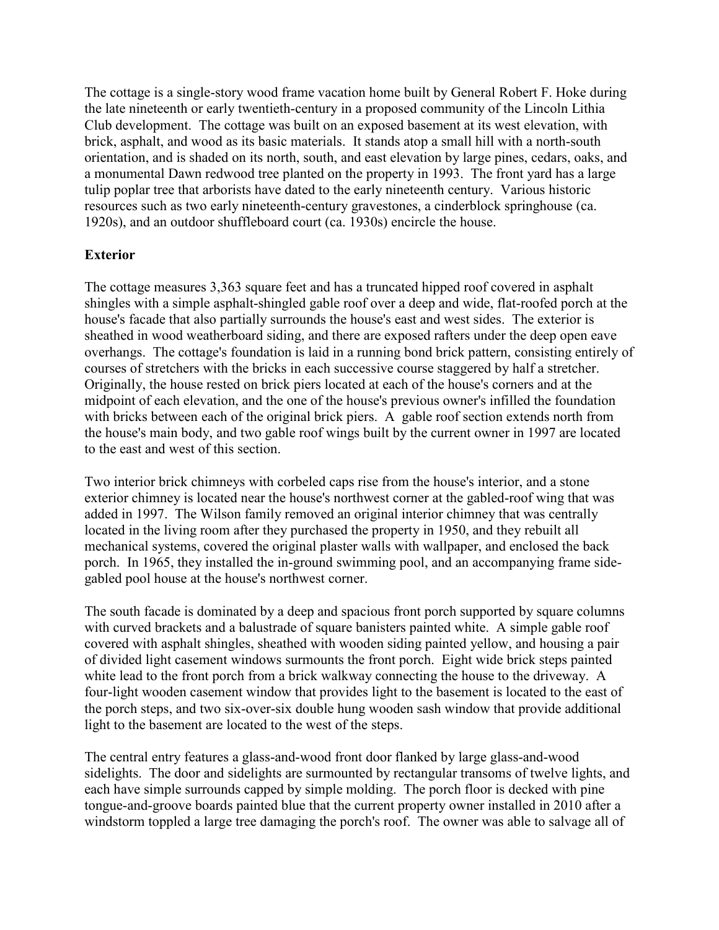The cottage is a single-story wood frame vacation home built by General Robert F. Hoke during the late nineteenth or early twentieth-century in a proposed community of the Lincoln Lithia Club development. The cottage was built on an exposed basement at its west elevation, with brick, asphalt, and wood as its basic materials. It stands atop a small hill with a north-south orientation, and is shaded on its north, south, and east elevation by large pines, cedars, oaks, and a monumental Dawn redwood tree planted on the property in 1993. The front yard has a large tulip poplar tree that arborists have dated to the early nineteenth century. Various historic resources such as two early nineteenth-century gravestones, a cinderblock springhouse (ca. 1920s), and an outdoor shuffleboard court (ca. 1930s) encircle the house.

## **Exterior**

The cottage measures 3,363 square feet and has a truncated hipped roof covered in asphalt shingles with a simple asphalt-shingled gable roof over a deep and wide, flat-roofed porch at the house's facade that also partially surrounds the house's east and west sides. The exterior is sheathed in wood weatherboard siding, and there are exposed rafters under the deep open eave overhangs. The cottage's foundation is laid in a running bond brick pattern, consisting entirely of courses of stretchers with the bricks in each successive course staggered by half a stretcher. Originally, the house rested on brick piers located at each of the house's corners and at the midpoint of each elevation, and the one of the house's previous owner's infilled the foundation with bricks between each of the original brick piers. A gable roof section extends north from the house's main body, and two gable roof wings built by the current owner in 1997 are located to the east and west of this section.

Two interior brick chimneys with corbeled caps rise from the house's interior, and a stone exterior chimney is located near the house's northwest corner at the gabled-roof wing that was added in 1997. The Wilson family removed an original interior chimney that was centrally located in the living room after they purchased the property in 1950, and they rebuilt all mechanical systems, covered the original plaster walls with wallpaper, and enclosed the back porch. In 1965, they installed the in-ground swimming pool, and an accompanying frame sidegabled pool house at the house's northwest corner.

The south facade is dominated by a deep and spacious front porch supported by square columns with curved brackets and a balustrade of square banisters painted white. A simple gable roof covered with asphalt shingles, sheathed with wooden siding painted yellow, and housing a pair of divided light casement windows surmounts the front porch. Eight wide brick steps painted white lead to the front porch from a brick walkway connecting the house to the driveway. A four-light wooden casement window that provides light to the basement is located to the east of the porch steps, and two six-over-six double hung wooden sash window that provide additional light to the basement are located to the west of the steps.

The central entry features a glass-and-wood front door flanked by large glass-and-wood sidelights. The door and sidelights are surmounted by rectangular transoms of twelve lights, and each have simple surrounds capped by simple molding. The porch floor is decked with pine tongue-and-groove boards painted blue that the current property owner installed in 2010 after a windstorm toppled a large tree damaging the porch's roof. The owner was able to salvage all of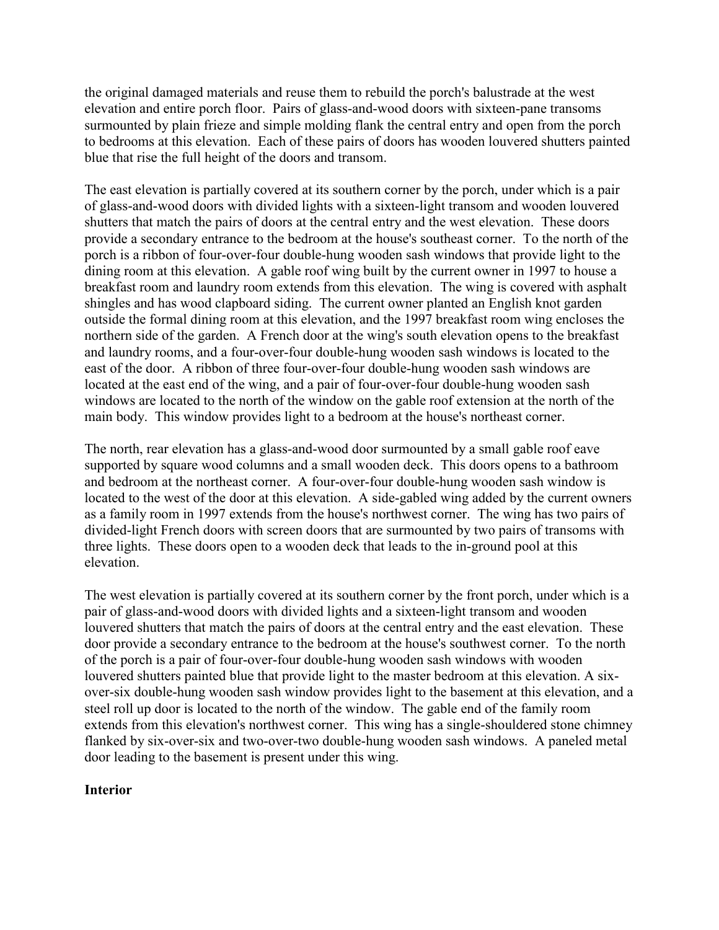the original damaged materials and reuse them to rebuild the porch's balustrade at the west elevation and entire porch floor. Pairs of glass-and-wood doors with sixteen-pane transoms surmounted by plain frieze and simple molding flank the central entry and open from the porch to bedrooms at this elevation. Each of these pairs of doors has wooden louvered shutters painted blue that rise the full height of the doors and transom.

The east elevation is partially covered at its southern corner by the porch, under which is a pair of glass-and-wood doors with divided lights with a sixteen-light transom and wooden louvered shutters that match the pairs of doors at the central entry and the west elevation. These doors provide a secondary entrance to the bedroom at the house's southeast corner. To the north of the porch is a ribbon of four-over-four double-hung wooden sash windows that provide light to the dining room at this elevation. A gable roof wing built by the current owner in 1997 to house a breakfast room and laundry room extends from this elevation. The wing is covered with asphalt shingles and has wood clapboard siding. The current owner planted an English knot garden outside the formal dining room at this elevation, and the 1997 breakfast room wing encloses the northern side of the garden. A French door at the wing's south elevation opens to the breakfast and laundry rooms, and a four-over-four double-hung wooden sash windows is located to the east of the door. A ribbon of three four-over-four double-hung wooden sash windows are located at the east end of the wing, and a pair of four-over-four double-hung wooden sash windows are located to the north of the window on the gable roof extension at the north of the main body. This window provides light to a bedroom at the house's northeast corner.

The north, rear elevation has a glass-and-wood door surmounted by a small gable roof eave supported by square wood columns and a small wooden deck. This doors opens to a bathroom and bedroom at the northeast corner. A four-over-four double-hung wooden sash window is located to the west of the door at this elevation. A side-gabled wing added by the current owners as a family room in 1997 extends from the house's northwest corner. The wing has two pairs of divided-light French doors with screen doors that are surmounted by two pairs of transoms with three lights. These doors open to a wooden deck that leads to the in-ground pool at this elevation.

The west elevation is partially covered at its southern corner by the front porch, under which is a pair of glass-and-wood doors with divided lights and a sixteen-light transom and wooden louvered shutters that match the pairs of doors at the central entry and the east elevation. These door provide a secondary entrance to the bedroom at the house's southwest corner. To the north of the porch is a pair of four-over-four double-hung wooden sash windows with wooden louvered shutters painted blue that provide light to the master bedroom at this elevation. A sixover-six double-hung wooden sash window provides light to the basement at this elevation, and a steel roll up door is located to the north of the window. The gable end of the family room extends from this elevation's northwest corner. This wing has a single-shouldered stone chimney flanked by six-over-six and two-over-two double-hung wooden sash windows. A paneled metal door leading to the basement is present under this wing.

## **Interior**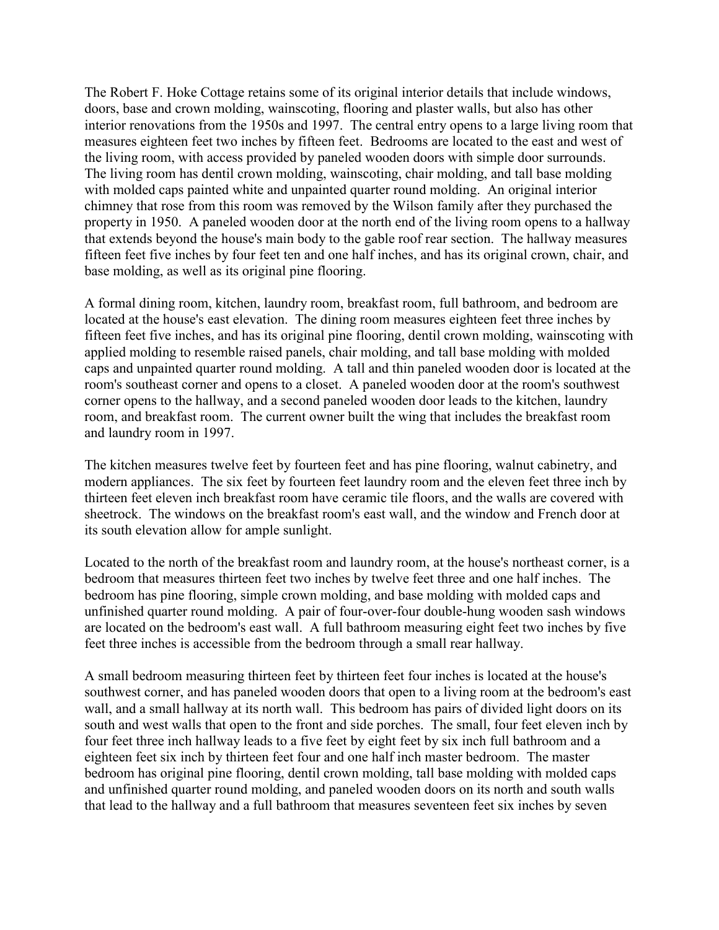The Robert F. Hoke Cottage retains some of its original interior details that include windows, doors, base and crown molding, wainscoting, flooring and plaster walls, but also has other interior renovations from the 1950s and 1997. The central entry opens to a large living room that measures eighteen feet two inches by fifteen feet. Bedrooms are located to the east and west of the living room, with access provided by paneled wooden doors with simple door surrounds. The living room has dentil crown molding, wainscoting, chair molding, and tall base molding with molded caps painted white and unpainted quarter round molding. An original interior chimney that rose from this room was removed by the Wilson family after they purchased the property in 1950. A paneled wooden door at the north end of the living room opens to a hallway that extends beyond the house's main body to the gable roof rear section. The hallway measures fifteen feet five inches by four feet ten and one half inches, and has its original crown, chair, and base molding, as well as its original pine flooring.

A formal dining room, kitchen, laundry room, breakfast room, full bathroom, and bedroom are located at the house's east elevation. The dining room measures eighteen feet three inches by fifteen feet five inches, and has its original pine flooring, dentil crown molding, wainscoting with applied molding to resemble raised panels, chair molding, and tall base molding with molded caps and unpainted quarter round molding. A tall and thin paneled wooden door is located at the room's southeast corner and opens to a closet. A paneled wooden door at the room's southwest corner opens to the hallway, and a second paneled wooden door leads to the kitchen, laundry room, and breakfast room. The current owner built the wing that includes the breakfast room and laundry room in 1997.

The kitchen measures twelve feet by fourteen feet and has pine flooring, walnut cabinetry, and modern appliances. The six feet by fourteen feet laundry room and the eleven feet three inch by thirteen feet eleven inch breakfast room have ceramic tile floors, and the walls are covered with sheetrock. The windows on the breakfast room's east wall, and the window and French door at its south elevation allow for ample sunlight.

Located to the north of the breakfast room and laundry room, at the house's northeast corner, is a bedroom that measures thirteen feet two inches by twelve feet three and one half inches. The bedroom has pine flooring, simple crown molding, and base molding with molded caps and unfinished quarter round molding. A pair of four-over-four double-hung wooden sash windows are located on the bedroom's east wall. A full bathroom measuring eight feet two inches by five feet three inches is accessible from the bedroom through a small rear hallway.

A small bedroom measuring thirteen feet by thirteen feet four inches is located at the house's southwest corner, and has paneled wooden doors that open to a living room at the bedroom's east wall, and a small hallway at its north wall. This bedroom has pairs of divided light doors on its south and west walls that open to the front and side porches. The small, four feet eleven inch by four feet three inch hallway leads to a five feet by eight feet by six inch full bathroom and a eighteen feet six inch by thirteen feet four and one half inch master bedroom. The master bedroom has original pine flooring, dentil crown molding, tall base molding with molded caps and unfinished quarter round molding, and paneled wooden doors on its north and south walls that lead to the hallway and a full bathroom that measures seventeen feet six inches by seven